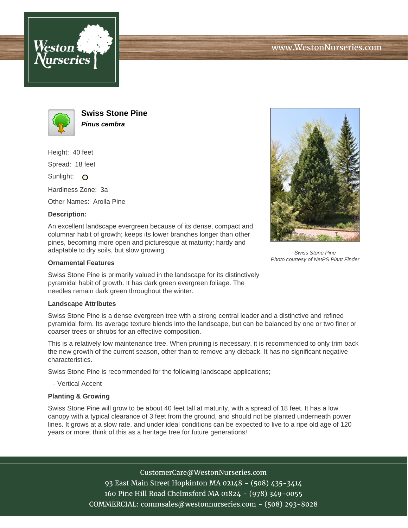





**Swiss Stone Pine Pinus cembra**

Height: 40 feet

Spread: 18 feet

Sunlight: O

Hardiness Zone: 3a

Other Names: Arolla Pine

## **Description:**

An excellent landscape evergreen because of its dense, compact and columnar habit of growth; keeps its lower branches longer than other pines, becoming more open and picturesque at maturity; hardy and adaptable to dry soils, but slow growing

## **Ornamental Features**

Swiss Stone Pine is primarily valued in the landscape for its distinctively pyramidal habit of growth. It has dark green evergreen foliage. The needles remain dark green throughout the winter.

## **Landscape Attributes**

Swiss Stone Pine is a dense evergreen tree with a strong central leader and a distinctive and refined pyramidal form. Its average texture blends into the landscape, but can be balanced by one or two finer or coarser trees or shrubs for an effective composition.

This is a relatively low maintenance tree. When pruning is necessary, it is recommended to only trim back the new growth of the current season, other than to remove any dieback. It has no significant negative characteristics.

Swiss Stone Pine is recommended for the following landscape applications;

- Vertical Accent

## **Planting & Growing**

Swiss Stone Pine will grow to be about 40 feet tall at maturity, with a spread of 18 feet. It has a low canopy with a typical clearance of 3 feet from the ground, and should not be planted underneath power lines. It grows at a slow rate, and under ideal conditions can be expected to live to a ripe old age of 120 years or more; think of this as a heritage tree for future generations!

> CustomerCare@WestonNurseries.com 93 East Main Street Hopkinton MA 02148 - (508) 435-3414 160 Pine Hill Road Chelmsford MA 01824 - (978) 349-0055 COMMERCIAL: commsales@westonnurseries.com - (508) 293-8028



Swiss Stone Pine Photo courtesy of NetPS Plant Finder